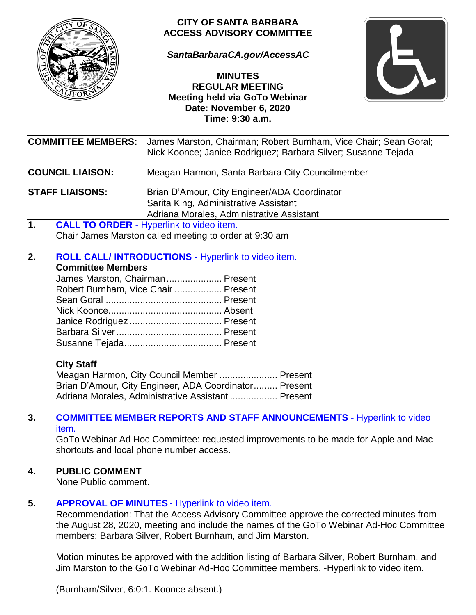

## **CITY OF SANTA BARBARA ACCESS ADVISORY COMMITTEE**

*[SantaBarbaraCA.gov/AccessAC](https://www.santabarbaraca.gov/gov/brdcomm/ac/access/agendas.asp)*

**MINUTES REGULAR MEETING Meeting held via GoTo Webinar Date: November 6, 2020 Time: 9:30 a.m.**



|                         | <b>COMMITTEE MEMBERS:</b> | James Marston, Chairman; Robert Burnham, Vice Chair; Sean Goral;<br>Nick Koonce; Janice Rodriguez; Barbara Silver; Susanne Tejada   |
|-------------------------|---------------------------|-------------------------------------------------------------------------------------------------------------------------------------|
| <b>COUNCIL LIAISON:</b> |                           | Meagan Harmon, Santa Barbara City Councilmember                                                                                     |
| <b>STAFF LIAISONS:</b>  |                           | Brian D'Amour, City Engineer/ADA Coordinator<br>Sarita King, Administrative Assistant                                               |
|                         |                           |                                                                                                                                     |
|                         |                           | Adriana Morales, Administrative Assistant                                                                                           |
| 1.                      |                           | <b>CALL TO ORDER - Hyperlink to video item.</b><br>Chair James Marston called meeting to order at 9:30 am                           |
| 2.                      | <b>Committee Members</b>  | <b>ROLL CALL/INTRODUCTIONS - Hyperlink to video item.</b><br>James Marston, Chairman Present<br>Robert Burnham, Vice Chair  Present |
|                         |                           |                                                                                                                                     |

Meagan Harmon, City Council Member ...................... Present Brian D'Amour, City Engineer, ADA Coordinator......... Present Adriana Morales, Administrative Assistant .................. Present

#### **3. [COMMITTEE MEMBER REPORTS AND](https://youtu.be/PIX9lxwmMmw?t=129) STAFF ANNOUNCEMENTS** - Hyperlink to video [item.](https://youtu.be/PIX9lxwmMmw?t=129)

GoTo Webinar Ad Hoc Committee: requested improvements to be made for Apple and Mac shortcuts and local phone number access.

# **4. PUBLIC COMMENT**

None Public comment.

## **5. [APPROVAL OF MINUTES](https://youtu.be/PIX9lxwmMmw?t=826)** - Hyperlink to video item.

Recommendation: That the Access Advisory Committee approve the corrected minutes from the August 28, 2020, meeting and include the names of the GoTo Webinar Ad-Hoc Committee members: Barbara Silver, Robert Burnham, and Jim Marston.

[Motion minutes be approved with the addition listing of](https://youtu.be/PIX9lxwmMmw?t=911) Barbara Silver, Robert Burnham, and Jim Marston [to the GoTo Webinar Ad-Hoc Committee members. -](https://youtu.be/PIX9lxwmMmw?t=911)Hyperlink to video item.

(Burnham/Silver, 6:0:1. Koonce absent.)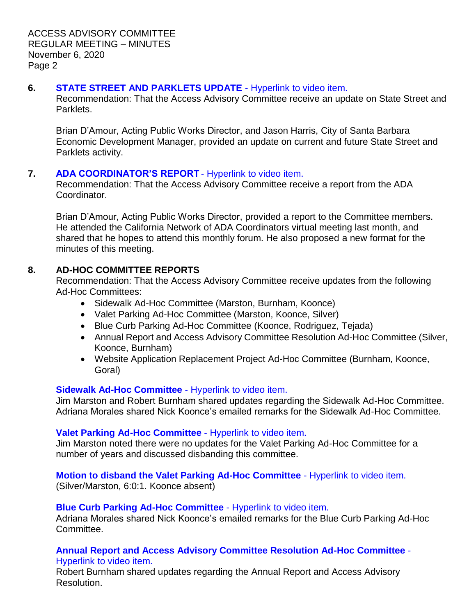## **6. [STATE STREET AND PARKLETS UPDATE](https://youtu.be/PIX9lxwmMmw?t=992)** - Hyperlink to video item.

Recommendation: That the Access Advisory Committee receive an update on State Street and Parklets.

Brian D'Amour, Acting Public Works Director, and Jason Harris, City of Santa Barbara Economic Development Manager, provided an update on current and future State Street and Parklets activity.

## **7. [ADA COORDINATOR'S REPORT](https://youtu.be/PIX9lxwmMmw?t=2784)** - Hyperlink to video item.

Recommendation: That the Access Advisory Committee receive a report from the ADA Coordinator.

Brian D'Amour, Acting Public Works Director, provided a report to the Committee members. He attended the California Network of ADA Coordinators virtual meeting last month, and shared that he hopes to attend this monthly forum. He also proposed a new format for the minutes of this meeting.

## **8. AD-HOC COMMITTEE REPORTS**

Recommendation: That the Access Advisory Committee receive updates from the following Ad-Hoc Committees:

- Sidewalk Ad-Hoc Committee (Marston, Burnham, Koonce)
- Valet Parking Ad-Hoc Committee (Marston, Koonce, Silver)
- Blue Curb Parking Ad-Hoc Committee (Koonce, Rodriguez, Tejada)
- Annual Report and Access Advisory Committee Resolution Ad-Hoc Committee (Silver, Koonce, Burnham)
- Website Application Replacement Project Ad-Hoc Committee (Burnham, Koonce, Goral)

# **[Sidewalk Ad-Hoc Committee](https://youtu.be/PIX9lxwmMmw?t=3206)** - Hyperlink to video item.

Jim Marston and Robert Burnham shared updates regarding the Sidewalk Ad-Hoc Committee. Adriana Morales shared Nick Koonce's emailed remarks for the Sidewalk Ad-Hoc Committee.

# **[Valet Parking Ad-Hoc Committee](https://youtu.be/PIX9lxwmMmw?t=3655)** - Hyperlink to video item.

Jim Marston noted there were no updates for the Valet Parking Ad-Hoc Committee for a number of years and discussed disbanding this committee.

# **Motion to disband [the Valet Parking Ad-Hoc Committee](https://youtu.be/PIX9lxwmMmw?t=3725)** - Hyperlink to video item.

(Silver/Marston, 6:0:1. Koonce absent)

## **[Blue Curb Parking Ad-Hoc Committee](https://youtu.be/PIX9lxwmMmw?t=3783)** - Hyperlink to video item.

Adriana Morales shared Nick Koonce's emailed remarks for the Blue Curb Parking Ad-Hoc Committee.

#### **[Annual Report and Access Advisory Committee Resolution Ad-Hoc Committee](https://youtu.be/PIX9lxwmMmw?t=4158)** - [Hyperlink to video item.](https://youtu.be/PIX9lxwmMmw?t=4158)

Robert Burnham shared updates regarding the Annual Report and Access Advisory Resolution.